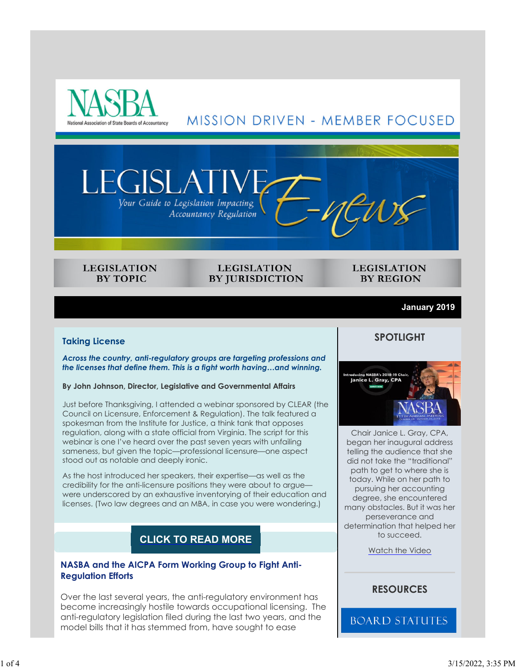



ISLA

#### **LEGISLATION BY TOPIC**

**LEGISLATION BY JURISDICTION** 

#### **LEGISLATION BY REGION**

#### **January 2019**

#### **Taking License**

*Across the country, anti-regulatory groups are targeting professions and the licenses that define them. This is a fight worth having…and winning.*

#### **By John Johnson, Director, Legislative and Governmental Affairs**

Just before Thanksgiving, I attended a webinar sponsored by CLEAR (the Council on Licensure, Enforcement & Regulation). The talk featured a spokesman from the Institute for Justice, a think tank that opposes regulation, along with a state official from Virginia. The script for this webinar is one I've heard over the past seven years with unfailing sameness, but given the topic—professional licensure—one aspect stood out as notable and deeply ironic.

As the host introduced her speakers, their expertise—as well as the credibility for the anti-licensure positions they were about to argue were underscored by an exhaustive inventorying of their education and licenses. (Two law degrees and an MBA, in case you were wondering.)

## **CLICK TO READ MORE**

#### **NASBA and the AICPA Form Working Group to Fight Anti-Regulation Efforts**

Over the last several years, the anti-regulatory environment has become increasingly hostile towards occupational licensing. The anti-regulatory legislation filed during the last two years, and the model bills that it has stemmed from, have sought to ease

#### **SPOTLIGHT**



Chair Janice L. Gray, CPA, began her inaugural address telling the audience that she did not take the "traditional" path to get to where she is today. While on her path to pursuing her accounting degree, she encountered many obstacles. But it was her perseverance and determination that helped her to succeed.

Watch the Video

## **RESOURCES**

**BOARD STATUTES**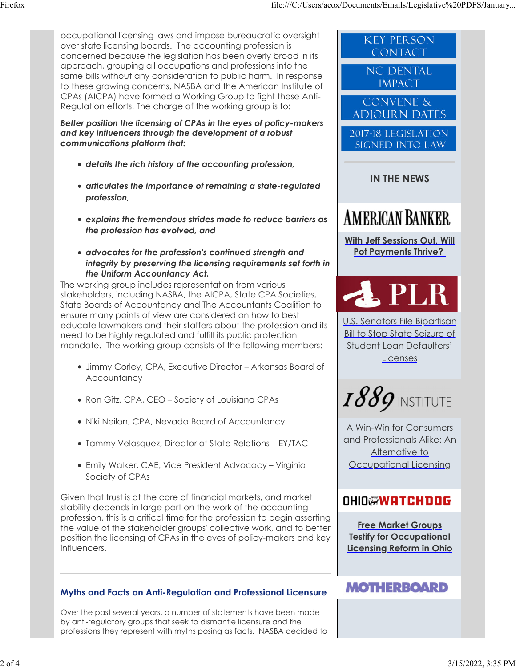occupational licensing laws and impose bureaucratic oversight over state licensing boards. The accounting profession is concerned because the legislation has been overly broad in its approach, grouping all occupations and professions into the same bills without any consideration to public harm. In response to these growing concerns, NASBA and the American Institute of CPAs (AICPA) have formed a Working Group to fight these Anti-Regulation efforts. The charge of the working group is to:

*Better position the licensing of CPAs in the eyes of policy-makers and key influencers through the development of a robust communications platform that:*

- *details the rich history of the accounting profession,*
- *articulates the importance of remaining a state-regulated profession,*
- *explains the tremendous strides made to reduce barriers as the profession has evolved, and*
- *advocates for the profession's continued strength and integrity by preserving the licensing requirements set forth in the Uniform Accountancy Act.*

The working group includes representation from various stakeholders, including NASBA, the AICPA, State CPA Societies, State Boards of Accountancy and The Accountants Coalition to ensure many points of view are considered on how to best educate lawmakers and their staffers about the profession and its need to be highly regulated and fulfill its public protection mandate. The working group consists of the following members:

- Jimmy Corley, CPA, Executive Director Arkansas Board of **Accountancy**
- Ron Gitz, CPA, CEO Society of Louisiana CPAs
- Niki Neilon, CPA, Nevada Board of Accountancy
- Tammy Velasquez, Director of State Relations EY/TAC
- Emily Walker, CAE, Vice President Advocacy Virginia Society of CPAs

Given that trust is at the core of financial markets, and market stability depends in large part on the work of the accounting profession, this is a critical time for the profession to begin asserting the value of the stakeholder groups' collective work, and to better position the licensing of CPAs in the eyes of policy-makers and key influencers.

## **Myths and Facts on Anti-Regulation and Professional Licensure**

Over the past several years, a number of statements have been made by anti-regulatory groups that seek to dismantle licensure and the professions they represent with myths posing as facts. NASBA decided to



and Professionals Alike: An Alternative to Occupational Licensing

# **OHIO@WATCHDOG**

**Free Market Groups Testify for Occupational Licensing Reform in Ohio**

# **MOTHERBOARD**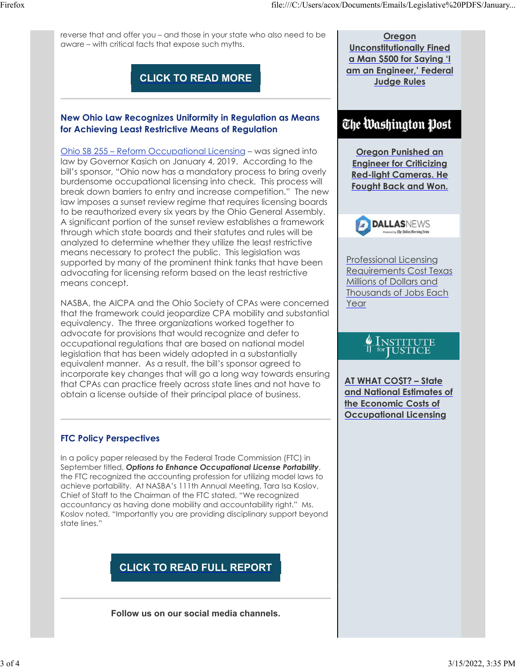reverse that and offer you – and those in your state who also need to be aware – with critical facts that expose such myths.

**CLICK TO READ MORE**

## **New Ohio Law Recognizes Uniformity in Regulation as Means for Achieving Least Restrictive Means of Regulation**

Ohio SB 255 – Reform Occupational Licensing – was signed into law by Governor Kasich on January 4, 2019. According to the bill's sponsor, "Ohio now has a mandatory process to bring overly burdensome occupational licensing into check. This process will break down barriers to entry and increase competition." The new law imposes a sunset review regime that requires licensing boards to be reauthorized every six years by the Ohio General Assembly. A significant portion of the sunset review establishes a framework through which state boards and their statutes and rules will be analyzed to determine whether they utilize the least restrictive means necessary to protect the public. This legislation was supported by many of the prominent think tanks that have been advocating for licensing reform based on the least restrictive means concept.

NASBA, the AICPA and the Ohio Society of CPAs were concerned that the framework could jeopardize CPA mobility and substantial equivalency. The three organizations worked together to advocate for provisions that would recognize and defer to occupational regulations that are based on national model legislation that has been widely adopted in a substantially equivalent manner. As a result, the bill's sponsor agreed to incorporate key changes that will go a long way towards ensuring that CPAs can practice freely across state lines and not have to obtain a license outside of their principal place of business.

## **FTC Policy Perspectives**

In a policy paper released by the Federal Trade Commission (FTC) in September titled, *Options to Enhance Occupational License Portability*, the FTC recognized the accounting profession for utilizing model laws to achieve portability. At NASBA's 111th Annual Meeting, Tara Isa Koslov, Chief of Staff to the Chairman of the FTC stated, "We recognized accountancy as having done mobility and accountability right." Ms. Koslov noted, "Importantly you are providing disciplinary support beyond state lines."

# **CLICK TO READ FULL REPORT**

**Follow us on our social media channels.**

**Oregon Unconstitutionally Fined a Man \$500 for Saying 'I am an Engineer,' Federal Judge Rules**

# The Washington Post

**Oregon Punished an Engineer for Criticizing Red-light Cameras. He Fought Back and Won.**



Professional Licensing Requirements Cost Texas Millions of Dollars and Thousands of Jobs Each Year

**AT WHAT CO\$T? – State and National Estimates of the Economic Costs of Occupational Licensing**